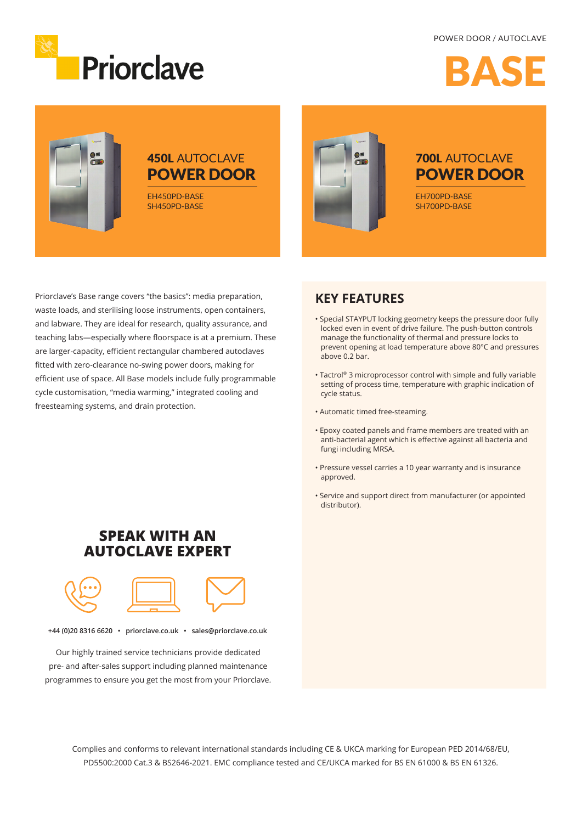### POWER DOOR / AUTOCLAVE



BASE



# 450L AUTOCLAVE POWER DOOR

EH450PD-BASE SH450PD-BASE



## 700L AUTOCLAVE POWER DOOR

EH700PD-BASE SH700PD-BASE

Priorclave's Base range covers "the basics": media preparation, waste loads, and sterilising loose instruments, open containers, and labware. They are ideal for research, quality assurance, and teaching labs—especially where floorspace is at a premium. These are larger-capacity, efficient rectangular chambered autoclaves fitted with zero-clearance no-swing power doors, making for efficient use of space. All Base models include fully programmable cycle customisation, "media warming," integrated cooling and freesteaming systems, and drain protection.

## **KEY FEATURES**

- Special STAYPUT locking geometry keeps the pressure door fully locked even in event of drive failure. The push-button controls manage the functionality of thermal and pressure locks to prevent opening at load temperature above 80°C and pressures above 0.2 bar.
- Tactrol® 3 microprocessor control with simple and fully variable setting of process time, temperature with graphic indication of cycle status.
- Automatic timed free-steaming.
- Epoxy coated panels and frame members are treated with an anti-bacterial agent which is effective against all bacteria and fungi including MRSA.
- Pressure vessel carries a 10 year warranty and is insurance approved.
- Service and support direct from manufacturer (or appointed distributor).

# **SPEAK WITH AN AUTOCLAVE EXPERT**



**+44 (0)20 8316 6620 • priorclave.co.uk • sales@priorclave.co.uk**

Our highly trained service technicians provide dedicated pre- and after-sales support including planned maintenance programmes to ensure you get the most from your Priorclave.

> Complies and conforms to relevant international standards including CE & UKCA marking for European PED 2014/68/EU, PD5500:2000 Cat.3 & BS2646-2021. EMC compliance tested and CE/UKCA marked for BS EN 61000 & BS EN 61326.